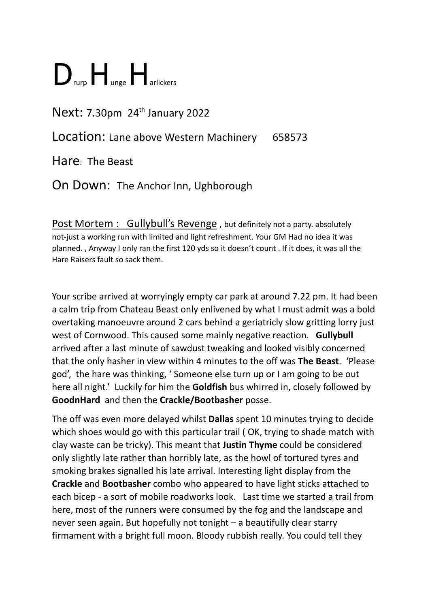## $\sum$  rurp $\prod$  unge $\prod$  arlickers

## Next: 7.30pm 24<sup>th</sup> January 2022

Location: Lane above Western Machinery 658573

Hare: The Beast

On Down: The Anchor Inn, Ughborough

Post Mortem : Gullybull's Revenge, but definitely not a party. absolutely not-just a working run with limited and light refreshment. Your GM Had no idea it was planned. , Anyway I only ran the first 120 yds so it doesn't count . If it does, it was all the Hare Raisers fault so sack them.

Your scribe arrived at worryingly empty car park at around 7.22 pm. It had been a calm trip from Chateau Beast only enlivened by what I must admit was a bold overtaking manoeuvre around 2 cars behind a geriatricly slow gritting lorry just west of Cornwood. This caused some mainly negative reaction. **Gullybull** arrived after a last minute of sawdust tweaking and looked visibly concerned that the only hasher in view within 4 minutes to the off was **The Beast**. 'Please god', the hare was thinking, ' Someone else turn up or I am going to be out here all night.' Luckily for him the **Goldfish** bus whirred in, closely followed by **GoodnHard** and then the **Crackle/Bootbasher** posse.

The off was even more delayed whilst **Dallas** spent 10 minutes trying to decide which shoes would go with this particular trail ( OK, trying to shade match with clay waste can be tricky). This meant that **Justin Thyme** could be considered only slightly late rather than horribly late, as the howl of tortured tyres and smoking brakes signalled his late arrival. Interesting light display from the **Crackle** and **Bootbasher** combo who appeared to have light sticks attached to each bicep - a sort of mobile roadworks look. Last time we started a trail from here, most of the runners were consumed by the fog and the landscape and never seen again. But hopefully not tonight – a beautifully clear starry firmament with a bright full moon. Bloody rubbish really. You could tell they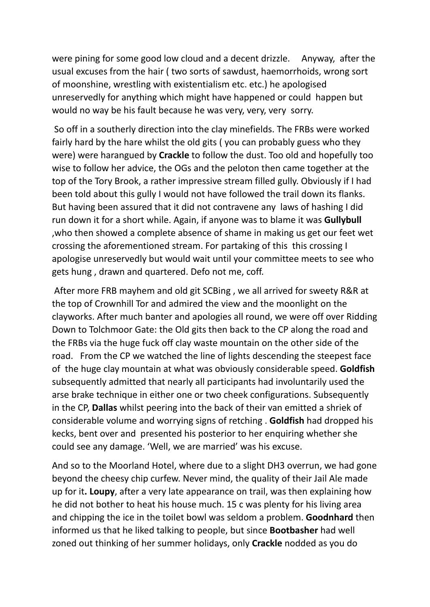were pining for some good low cloud and a decent drizzle. Anyway, after the usual excuses from the hair ( two sorts of sawdust, haemorrhoids, wrong sort of moonshine, wrestling with existentialism etc. etc.) he apologised unreservedly for anything which might have happened or could happen but would no way be his fault because he was very, very, very sorry.

So off in a southerly direction into the clay minefields. The FRBs were worked fairly hard by the hare whilst the old gits ( you can probably guess who they were) were harangued by **Crackle** to follow the dust. Too old and hopefully too wise to follow her advice, the OGs and the peloton then came together at the top of the Tory Brook, a rather impressive stream filled gully. Obviously if I had been told about this gully I would not have followed the trail down its flanks. But having been assured that it did not contravene any laws of hashing I did run down it for a short while. Again, if anyone was to blame it was **Gullybull** ,who then showed a complete absence of shame in making us get our feet wet crossing the aforementioned stream. For partaking of this this crossing I apologise unreservedly but would wait until your committee meets to see who gets hung , drawn and quartered. Defo not me, coff.

After more FRB mayhem and old git SCBing , we all arrived for sweety R&R at the top of Crownhill Tor and admired the view and the moonlight on the clayworks. After much banter and apologies all round, we were off over Ridding Down to Tolchmoor Gate: the Old gits then back to the CP along the road and the FRBs via the huge fuck off clay waste mountain on the other side of the road. From the CP we watched the line of lights descending the steepest face of the huge clay mountain at what was obviously considerable speed. **Goldfish** subsequently admitted that nearly all participants had involuntarily used the arse brake technique in either one or two cheek configurations. Subsequently in the CP, **Dallas** whilst peering into the back of their van emitted a shriek of considerable volume and worrying signs of retching . **Goldfish** had dropped his kecks, bent over and presented his posterior to her enquiring whether she could see any damage. 'Well, we are married' was his excuse.

And so to the Moorland Hotel, where due to a slight DH3 overrun, we had gone beyond the cheesy chip curfew. Never mind, the quality of their Jail Ale made up for it**. Loupy**, after a very late appearance on trail, was then explaining how he did not bother to heat his house much. 15 c was plenty for his living area and chipping the ice in the toilet bowl was seldom a problem. **Goodnhard** then informed us that he liked talking to people, but since **Bootbasher** had well zoned out thinking of her summer holidays, only **Crackle** nodded as you do